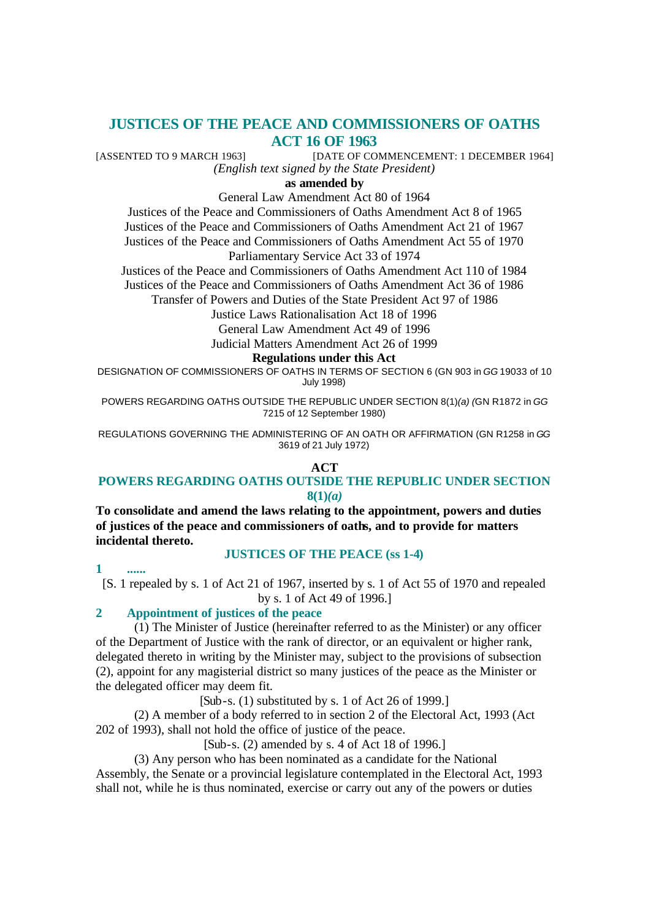# **JUSTICES OF THE PEACE AND COMMISSIONERS OF OATHS ACT 16 OF 1963**

[ASSENTED TO 9 MARCH 1963] [DATE OF COMMENCEMENT: 1 DECEMBER 1964] *(English text signed by the State President)*

**as amended by**

General Law Amendment Act 80 of 1964

Justices of the Peace and Commissioners of Oaths Amendment Act 8 of 1965 Justices of the Peace and Commissioners of Oaths Amendment Act 21 of 1967 Justices of the Peace and Commissioners of Oaths Amendment Act 55 of 1970 Parliamentary Service Act 33 of 1974

Justices of the Peace and Commissioners of Oaths Amendment Act 110 of 1984 Justices of the Peace and Commissioners of Oaths Amendment Act 36 of 1986

Transfer of Powers and Duties of the State President Act 97 of 1986

Justice Laws Rationalisation Act 18 of 1996

General Law Amendment Act 49 of 1996

Judicial Matters Amendment Act 26 of 1999

#### **Regulations under this Act**

DESIGNATION OF COMMISSIONERS OF OATHS IN TERMS OF SECTION 6 (GN 903 in *GG* 19033 of 10 July 1998)

POWERS REGARDING OATHS OUTSIDE THE REPUBLIC UNDER SECTION 8(1)*(a) (*GN R1872 in *GG* 7215 of 12 September 1980)

REGULATIONS GOVERNING THE ADMINISTERING OF AN OATH OR AFFIRMATION (GN R1258 in *GG* 3619 of 21 July 1972)

### **ACT**

## **POWERS REGARDING OATHS OUTSIDE THE REPUBLIC UNDER SECTION 8(1)***(a)*

**To consolidate and amend the laws relating to the appointment, powers and duties of justices of the peace and commissioners of oaths, and to provide for matters incidental thereto.**

### **JUSTICES OF THE PEACE (ss 1-4)**

**1 ......**

[S. 1 repealed by s. 1 of Act 21 of 1967, inserted by s. 1 of Act 55 of 1970 and repealed by s. 1 of Act 49 of 1996.]

## **2 Appointment of justices of the peace**

(1) The Minister of Justice (hereinafter referred to as the Minister) or any officer of the Department of Justice with the rank of director, or an equivalent or higher rank, delegated thereto in writing by the Minister may, subject to the provisions of subsection (2), appoint for any magisterial district so many justices of the peace as the Minister or the delegated officer may deem fit.

[Sub-s. (1) substituted by s. 1 of Act 26 of 1999.]

(2) A member of a body referred to in section 2 of the Electoral Act, 1993 (Act 202 of 1993), shall not hold the office of justice of the peace.

[Sub-s. (2) amended by s. 4 of Act 18 of 1996.]

(3) Any person who has been nominated as a candidate for the National Assembly, the Senate or a provincial legislature contemplated in the Electoral Act, 1993 shall not, while he is thus nominated, exercise or carry out any of the powers or duties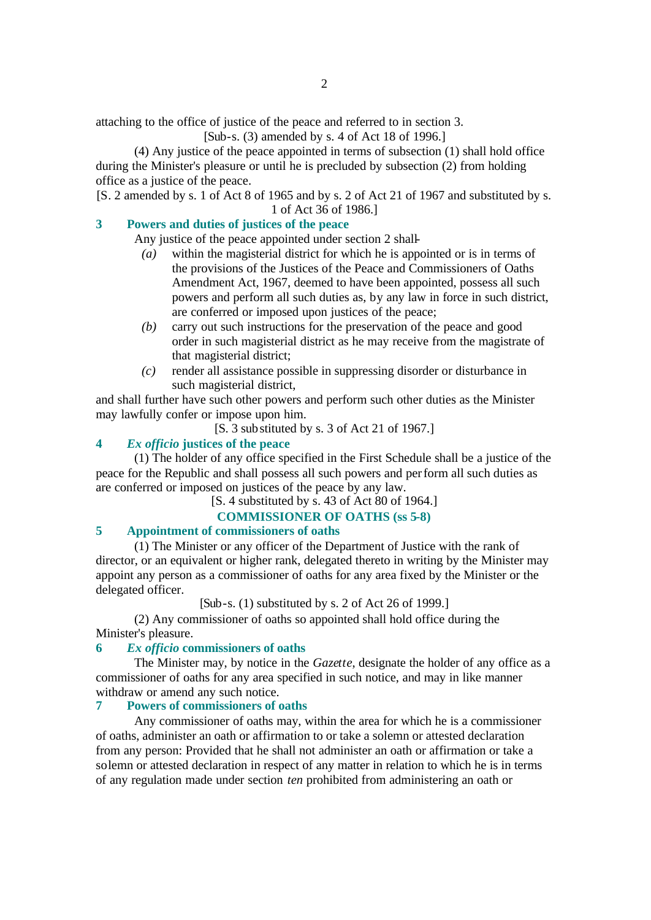attaching to the office of justice of the peace and referred to in section 3.

[Sub-s. (3) amended by s. 4 of Act 18 of 1996.]

(4) Any justice of the peace appointed in terms of subsection (1) shall hold office during the Minister's pleasure or until he is precluded by subsection (2) from holding office as a justice of the peace.

[S. 2 amended by s. 1 of Act 8 of 1965 and by s. 2 of Act 21 of 1967 and substituted by s. 1 of Act 36 of 1986.]

# **3 Powers and duties of justices of the peace**

Any justice of the peace appointed under section 2 shall-

- *(a)* within the magisterial district for which he is appointed or is in terms of the provisions of the Justices of the Peace and Commissioners of Oaths Amendment Act, 1967, deemed to have been appointed, possess all such powers and perform all such duties as, by any law in force in such district, are conferred or imposed upon justices of the peace;
- *(b)* carry out such instructions for the preservation of the peace and good order in such magisterial district as he may receive from the magistrate of that magisterial district;
- *(c)* render all assistance possible in suppressing disorder or disturbance in such magisterial district,

and shall further have such other powers and perform such other duties as the Minister may lawfully confer or impose upon him.

[S. 3 substituted by s. 3 of Act 21 of 1967.]

## **4** *Ex officio* **justices of the peace**

(1) The holder of any office specified in the First Schedule shall be a justice of the peace for the Republic and shall possess all such powers and perform all such duties as are conferred or imposed on justices of the peace by any law.

[S. 4 substituted by s. 43 of Act 80 of 1964.]

## **COMMISSIONER OF OATHS (ss 5-8)**

## **5 Appointment of commissioners of oaths**

(1) The Minister or any officer of the Department of Justice with the rank of director, or an equivalent or higher rank, delegated thereto in writing by the Minister may appoint any person as a commissioner of oaths for any area fixed by the Minister or the delegated officer.

 $[Sub-s. (1)$  substituted by s. 2 of Act 26 of 1999.

(2) Any commissioner of oaths so appointed shall hold office during the Minister's pleasure.

### **6** *Ex officio* **commissioners of oaths**

The Minister may, by notice in the *Gazette*, designate the holder of any office as a commissioner of oaths for any area specified in such notice, and may in like manner withdraw or amend any such notice.

## **7 Powers of commissioners of oaths**

Any commissioner of oaths may, within the area for which he is a commissioner of oaths, administer an oath or affirmation to or take a solemn or attested declaration from any person: Provided that he shall not administer an oath or affirmation or take a solemn or attested declaration in respect of any matter in relation to which he is in terms of any regulation made under section *ten* prohibited from administering an oath or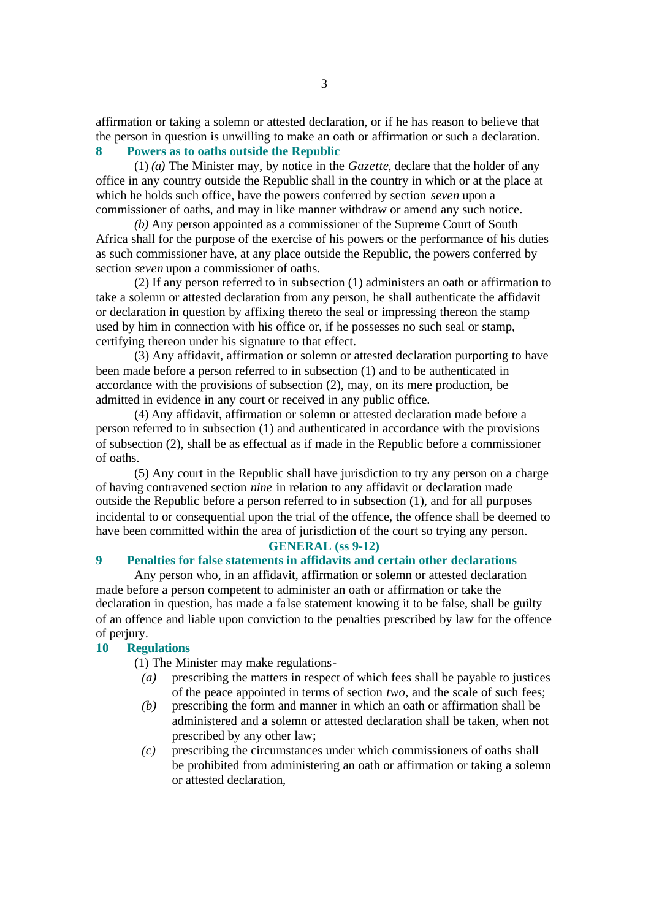affirmation or taking a solemn or attested declaration, or if he has reason to believe that the person in question is unwilling to make an oath or affirmation or such a declaration.

# **8 Powers as to oaths outside the Republic**

(1) *(a)* The Minister may, by notice in the *Gazette*, declare that the holder of any office in any country outside the Republic shall in the country in which or at the place at which he holds such office, have the powers conferred by section *seven* upon a commissioner of oaths, and may in like manner withdraw or amend any such notice.

*(b)* Any person appointed as a commissioner of the Supreme Court of South Africa shall for the purpose of the exercise of his powers or the performance of his duties as such commissioner have, at any place outside the Republic, the powers conferred by section *seven* upon a commissioner of oaths.

(2) If any person referred to in subsection (1) administers an oath or affirmation to take a solemn or attested declaration from any person, he shall authenticate the affidavit or declaration in question by affixing thereto the seal or impressing thereon the stamp used by him in connection with his office or, if he possesses no such seal or stamp, certifying thereon under his signature to that effect.

(3) Any affidavit, affirmation or solemn or attested declaration purporting to have been made before a person referred to in subsection (1) and to be authenticated in accordance with the provisions of subsection (2), may, on its mere production, be admitted in evidence in any court or received in any public office.

(4) Any affidavit, affirmation or solemn or attested declaration made before a person referred to in subsection (1) and authenticated in accordance with the provisions of subsection (2), shall be as effectual as if made in the Republic before a commissioner of oaths.

(5) Any court in the Republic shall have jurisdiction to try any person on a charge of having contravened section *nine* in relation to any affidavit or declaration made outside the Republic before a person referred to in subsection (1), and for all purposes incidental to or consequential upon the trial of the offence, the offence shall be deemed to have been committed within the area of jurisdiction of the court so trying any person.

### **GENERAL (ss 9-12)**

# **9 Penalties for false statements in affidavits and certain other declarations**

Any person who, in an affidavit, affirmation or solemn or attested declaration made before a person competent to administer an oath or affirmation or take the declaration in question, has made a false statement knowing it to be false, shall be guilty of an offence and liable upon conviction to the penalties prescribed by law for the offence of perjury.

### **10 Regulations**

(1) The Minister may make regulations-

- *(a)* prescribing the matters in respect of which fees shall be payable to justices of the peace appointed in terms of section *two*, and the scale of such fees;
- *(b)* prescribing the form and manner in which an oath or affirmation shall be administered and a solemn or attested declaration shall be taken, when not prescribed by any other law;
- *(c)* prescribing the circumstances under which commissioners of oaths shall be prohibited from administering an oath or affirmation or taking a solemn or attested declaration,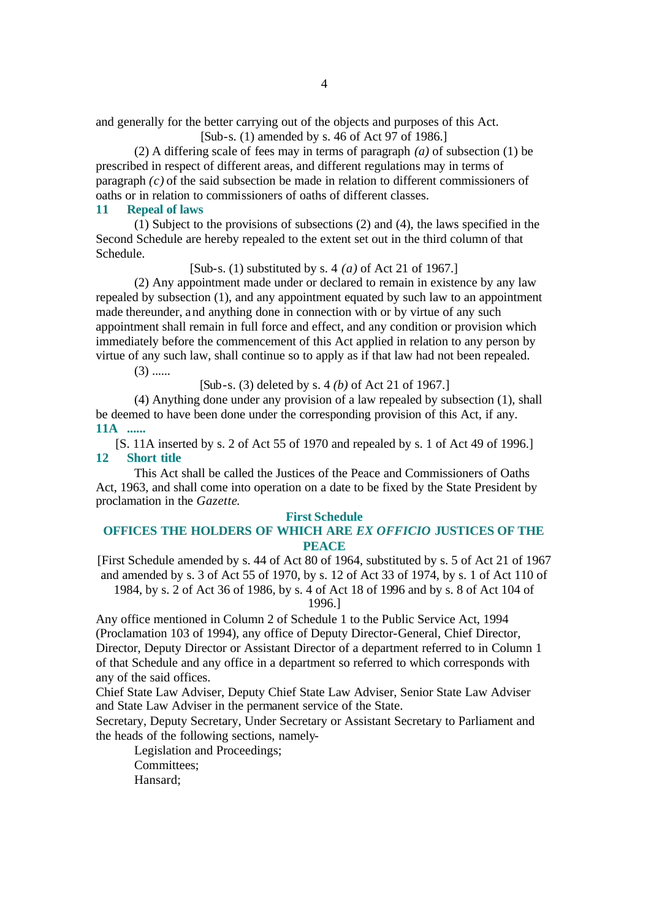and generally for the better carrying out of the objects and purposes of this Act.

[Sub-s. (1) amended by s. 46 of Act 97 of 1986.]

(2) A differing scale of fees may in terms of paragraph *(a)* of subsection (1) be prescribed in respect of different areas, and different regulations may in terms of paragraph *(c)* of the said subsection be made in relation to different commissioners of oaths or in relation to commissioners of oaths of different classes.

## **11 Repeal of laws**

(1) Subject to the provisions of subsections (2) and (4), the laws specified in the Second Schedule are hereby repealed to the extent set out in the third column of that Schedule.

[Sub-s. (1) substituted by s. 4 *(a)* of Act 21 of 1967.]

(2) Any appointment made under or declared to remain in existence by any law repealed by subsection (1), and any appointment equated by such law to an appointment made thereunder, and anything done in connection with or by virtue of any such appointment shall remain in full force and effect, and any condition or provision which immediately before the commencement of this Act applied in relation to any person by virtue of any such law, shall continue so to apply as if that law had not been repealed.

 $(3)$  ......

[Sub-s. (3) deleted by s. 4 *(b)* of Act 21 of 1967.]

(4) Anything done under any provision of a law repealed by subsection (1), shall be deemed to have been done under the corresponding provision of this Act, if any. **11A ......**

[S. 11A inserted by s. 2 of Act 55 of 1970 and repealed by s. 1 of Act 49 of 1996.] **12 Short title**

This Act shall be called the Justices of the Peace and Commissioners of Oaths Act, 1963, and shall come into operation on a date to be fixed by the State President by proclamation in the *Gazette*.

### **First Schedule**

## **OFFICES THE HOLDERS OF WHICH ARE** *EX OFFICIO* **JUSTICES OF THE PEACE**

[First Schedule amended by s. 44 of Act 80 of 1964, substituted by s. 5 of Act 21 of 1967 and amended by s. 3 of Act 55 of 1970, by s. 12 of Act 33 of 1974, by s. 1 of Act 110 of

1984, by s. 2 of Act 36 of 1986, by s. 4 of Act 18 of 1996 and by s. 8 of Act 104 of 1996.]

Any office mentioned in Column 2 of Schedule 1 to the Public Service Act, 1994 (Proclamation 103 of 1994), any office of Deputy Director-General, Chief Director, Director, Deputy Director or Assistant Director of a department referred to in Column 1 of that Schedule and any office in a department so referred to which corresponds with any of the said offices.

Chief State Law Adviser, Deputy Chief State Law Adviser, Senior State Law Adviser and State Law Adviser in the permanent service of the State.

Secretary, Deputy Secretary, Under Secretary or Assistant Secretary to Parliament and the heads of the following sections, namely-

Legislation and Proceedings; Committees; Hansard;